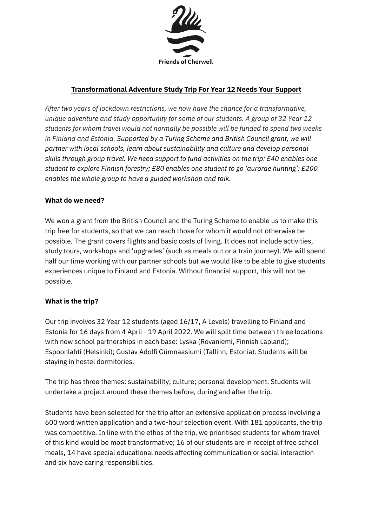

# **Transformational Adventure Study Trip For Year 12 Needs Your Support**

*After two years of lockdown restrictions, we now have the chance for a transformative, unique adventure and study opportunity for some of our students. A group of 32 Year 12 students for whom travel would not normally be possible will be funded to spend two weeks in Finland and Estonia. Supported by a Turing Scheme and British Council grant, we will partner with local schools, learn about sustainability and culture and develop personal skills through group travel. We need support to fund activities on the trip: £40 enables one student to explore Finnish forestry; £80 enables one student to go 'aurorae hunting'; £200 enables the whole group to have a guided workshop and talk.* 

#### **What do we need?**

We won a grant from the British Council and the Turing Scheme to enable us to make this trip free for students, so that we can reach those for whom it would not otherwise be possible. The grant covers flights and basic costs of living. It does not include activities, study tours, workshops and 'upgrades' (such as meals out or a train journey). We will spend half our time working with our partner schools but we would like to be able to give students experiences unique to Finland and Estonia. Without financial support, this will not be possible.

#### **What is the trip?**

Our trip involves 32 Year 12 students (aged 16/17, A Levels) travelling to Finland and Estonia for 16 days from 4 April - 19 April 2022. We will split time between three locations with new school partnerships in each base: Lyska (Rovaniemi, Finnish Lapland); Espoonlahti (Helsinki); Gustav Adolfi Gümnaasiumi (Tallinn, Estonia). Students will be staying in hostel dormitories.

The trip has three themes: sustainability; culture; personal development. Students will undertake a project around these themes before, during and after the trip.

Students have been selected for the trip after an extensive application process involving a 600 word written application and a two-hour selection event. With 181 applicants, the trip was competitive. In line with the ethos of the trip, we prioritised students for whom travel of this kind would be most transformative; 16 of our students are in receipt of free school meals, 14 have special educational needs affecting communication or social interaction and six have caring responsibilities.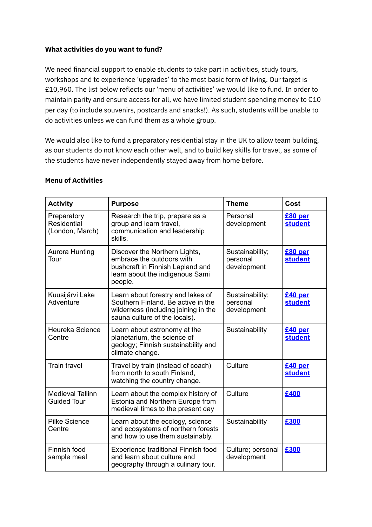### **What activities do you want to fund?**

We need financial support to enable students to take part in activities, study tours, workshops and to experience 'upgrades' to the most basic form of living. Our target is £10,960. The list below reflects our 'menu of activities' we would like to fund. In order to maintain parity and ensure access for all, we have limited student spending money to €10 per day (to include souvenirs, postcards and snacks!). As such, students will be unable to do activities unless we can fund them as a whole group.

We would also like to fund a preparatory residential stay in the UK to allow team building, as our students do not know each other well, and to build key skills for travel, as some of the students have never independently stayed away from home before.

| <b>Activity</b>                               | <b>Purpose</b>                                                                                                                                   | <b>Theme</b>                               | Cost                      |
|-----------------------------------------------|--------------------------------------------------------------------------------------------------------------------------------------------------|--------------------------------------------|---------------------------|
| Preparatory<br>Residential<br>(London, March) | Research the trip, prepare as a<br>group and learn travel,<br>communication and leadership<br>skills.                                            | Personal<br>development                    | £80 per<br><b>student</b> |
| Aurora Hunting<br>Tour                        | Discover the Northern Lights,<br>embrace the outdoors with<br>bushcraft in Finnish Lapland and<br>learn about the indigenous Sami<br>people.     | Sustainability;<br>personal<br>development | £80 per<br><b>student</b> |
| Kuusijärvi Lake<br>Adventure                  | Learn about forestry and lakes of<br>Southern Finland. Be active in the<br>wilderness (including joining in the<br>sauna culture of the locals). | Sustainability;<br>personal<br>development | £40 per<br><b>student</b> |
| Heureka Science<br>Centre                     | Learn about astronomy at the<br>planetarium, the science of<br>geology; Finnish sustainability and<br>climate change.                            | Sustainability                             | £40 per<br>student        |
| <b>Train travel</b>                           | Travel by train (instead of coach)<br>from north to south Finland,<br>watching the country change.                                               | Culture                                    | £40 per<br><b>student</b> |
| <b>Medieval Tallinn</b><br><b>Guided Tour</b> | Learn about the complex history of<br>Estonia and Northern Europe from<br>medieval times to the present day                                      | Culture                                    | £400                      |
| <b>Pilke Science</b><br>Centre                | Learn about the ecology, science<br>and ecosystems of northern forests<br>and how to use them sustainably.                                       | Sustainability                             | £300                      |
| Finnish food<br>sample meal                   | Experience traditional Finnish food<br>and learn about culture and<br>geography through a culinary tour.                                         | Culture; personal<br>development           | £300                      |

#### **Menu of Activities**